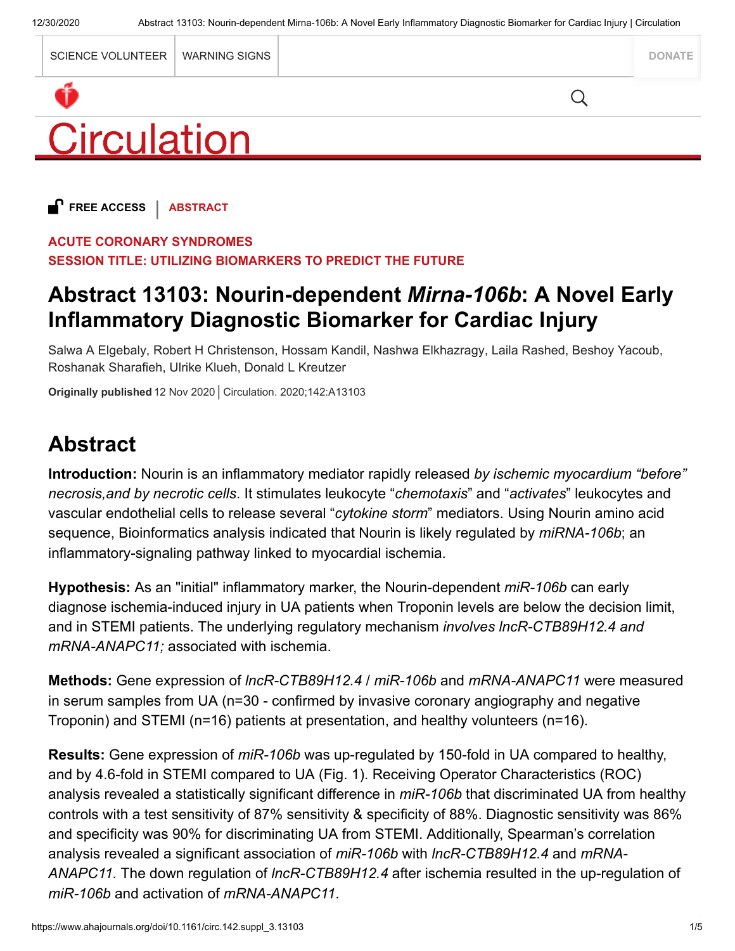|                    | <b>SCIENCE VOLUNTEER</b> | WARNING SIGNS |  | <b>DONATE</b> |
|--------------------|--------------------------|---------------|--|---------------|
|                    |                          |               |  |               |
| <b>Circulation</b> |                          |               |  |               |

**FREE ACCESS** | **ABSTRACT**

#### **ACUTE CORONARY SYNDROMES**

**SESSION TITLE: UTILIZING BIOMARKERS TO PREDICT THE FUTURE**

## **Abstract 13103: Nourin-dependent** *Mirna-106b***: A Novel Early Inflammatory Diagnostic Biomarker for Cardiac Injury**

Salwa A Elgebaly, Robert H Christenson, Hossam Kandil, Nashwa Elkhazragy, Laila Rashed, Beshoy Yacoub, Roshanak Sharafieh, Ulrike Klueh, Donald L Kreutzer

**Originally published** 12 Nov 2020 Circulation. 2020;142:A13103

# **Abstract**

**Introduction:** Nourin is an inflammatory mediator rapidly released *by ischemic myocardium "before" necrosis,and by necrotic cells*. It stimulates leukocyte "*chemotaxis*" and "*activates*" leukocytes and vascular endothelial cells to release several "*cytokine storm*" mediators. Using Nourin amino acid sequence, Bioinformatics analysis indicated that Nourin is likely regulated by *miRNA-106b*; an inflammatory-signaling pathway linked to myocardial ischemia.

**Hypothesis:** As an "initial" inflammatory marker, the Nourin-dependent *miR-106b* can early diagnose ischemia-induced injury in UA patients when Troponin levels are below the decision limit, and in STEMI patients. The underlying regulatory mechanism *involves lncR-CTB89H12.4 and mRNA-ANAPC11;* associated with ischemia.

**Methods:** Gene expression of *lncR-CTB89H12.4* / *miR-106b* and *mRNA-ANAPC11* were measured in serum samples from UA (n=30 - confirmed by invasive coronary angiography and negative Troponin) and STEMI (n=16) patients at presentation, and healthy volunteers (n=16).

**Results:** Gene expression of *miR-106b* was up-regulated by 150-fold in UA compared to healthy, and by 4.6-fold in STEMI compared to UA (Fig. 1). Receiving Operator Characteristics (ROC) analysis revealed a statistically significant difference in *miR-106b* that discriminated UA from healthy controls with a test sensitivity of 87% sensitivity & specificity of 88%. Diagnostic sensitivity was 86% and specificity was 90% for discriminating UA from STEMI. Additionally, Spearman's correlation analysis revealed a significant association of *miR-106b* with *lncR-CTB89H12.4* and *mRNA-ANAPC11.* The down regulation of *lncR-CTB89H12.4* after ischemia resulted in the up-regulation of *miR-106b* and activation of *mRNA-ANAPC11*.